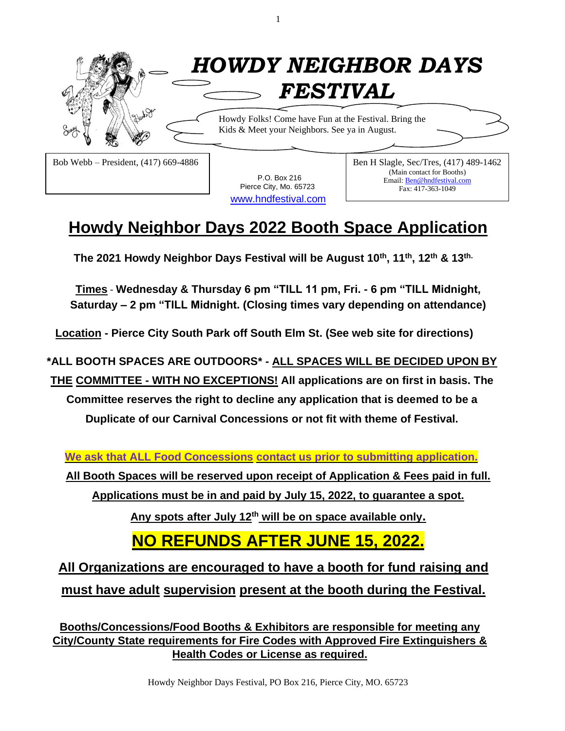

1

**Howdy Neighbor Days 2022 Booth Space Application**

[www.hndfestival.com](http://www.hndfestival.com/)

Pierce City, Mo. 65723

Fax: 417-363-1049

**The 2021 Howdy Neighbor Days Festival will be August 10 th , 11 th , 12 th & 13 th.**

**Times** - **Wednesday & Thursday 6 pm "TILL 11 pm, Fri. - 6 pm "TILL Midnight, Saturday – 2 pm "TILL Midnight. (Closing times vary depending on attendance)**

**Location - Pierce City South Park off South Elm St. (See web site for directions)**

**\*ALL BOOTH SPACES ARE OUTDOORS\* - ALL SPACES WILL BE DECIDED UPON BY**

**THE COMMITTEE - WITH NO EXCEPTIONS! All applications are on first in basis. The** 

**Committee reserves the right to decline any application that is deemed to be a Duplicate of our Carnival Concessions or not fit with theme of Festival.**

**We ask that ALL Food Concessions contact us prior to submitting application.**

**All Booth Spaces will be reserved upon receipt of Application & Fees paid in full.**

**Applications must be in and paid by July 15, 2022, to guarantee a spot.**

**Any spots after July 12 th will be on space available only.**

#### **NO REFUNDS AFTER JUNE 15, 2022.**

**All Organizations are encouraged to have a booth for fund raising and must have adult supervision present at the booth during the Festival.**

**Booths/Concessions/Food Booths & Exhibitors are responsible for meeting any City/County State requirements for Fire Codes with Approved Fire Extinguishers & Health Codes or License as required.**

Howdy Neighbor Days Festival, PO Box 216, Pierce City, MO. 65723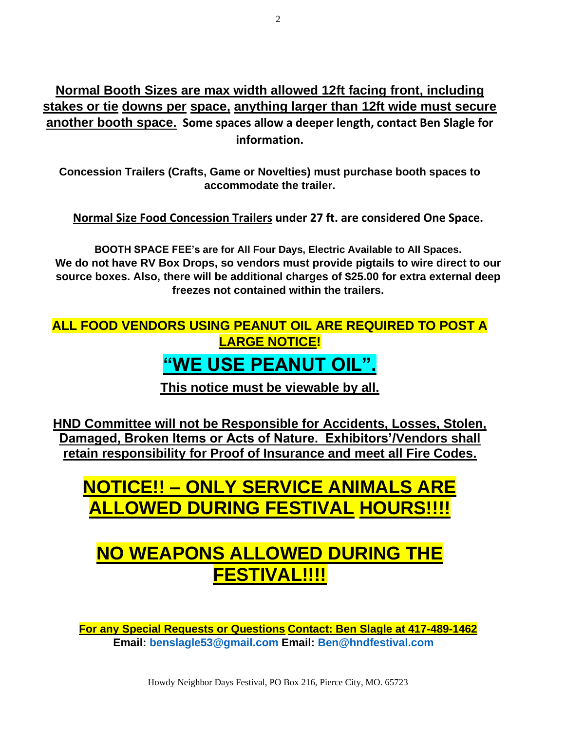**Normal Booth Sizes are max width allowed 12ft facing front, including stakes or tie downs per space, anything larger than 12ft wide must secure another booth space. Some spaces allow a deeper length, contact Ben Slagle for information.**

**Concession Trailers (Crafts, Game or Novelties) must purchase booth spaces to accommodate the trailer.** 

**Normal Size Food Concession Trailers under 27 ft. are considered One Space.**

**BOOTH SPACE FEE's are for All Four Days, Electric Available to All Spaces. We do not have RV Box Drops, so vendors must provide pigtails to wire direct to our source boxes. Also, there will be additional charges of \$25.00 for extra external deep freezes not contained within the trailers.**

**ALL FOOD VENDORS USING PEANUT OIL ARE REQUIRED TO POST A LARGE NOTICE!**

#### **"WE USE PEANUT OIL".**

**This notice must be viewable by all.**

**HND Committee will not be Responsible for Accidents, Losses, Stolen, Damaged, Broken Items or Acts of Nature. Exhibitors'/Vendors shall retain responsibility for Proof of Insurance and meet all Fire Codes.**

# **NOTICE!! – ONLY SERVICE ANIMALS ARE ALLOWED DURING FESTIVAL HOURS!!!!**

### **NO WEAPONS ALLOWED DURING THE FESTIVAL!!!!**

**For any Special Requests or Questions Contact: Ben Slagle at 417-489-1462 Email: benslagle53@gmail.com Email: Ben@hndfestival.com**

Howdy Neighbor Days Festival, PO Box 216, Pierce City, MO. 65723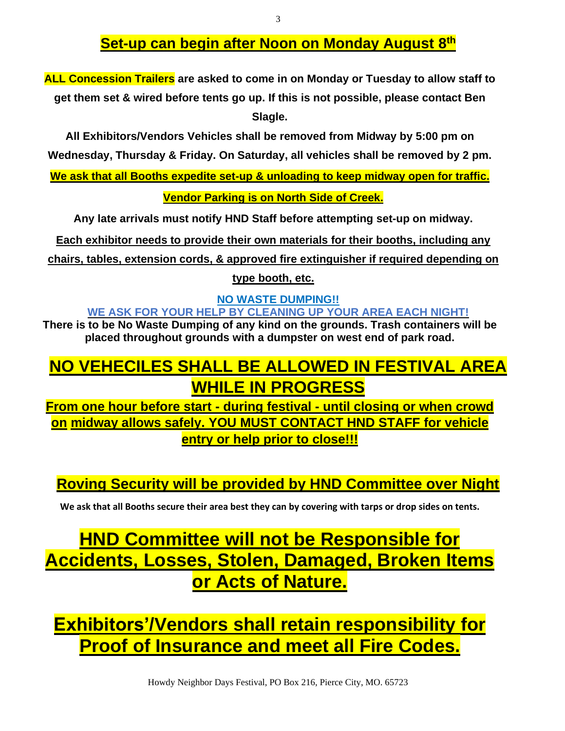#### **Set-up can begin after Noon on Monday August 8 th**

**ALL Concession Trailers are asked to come in on Monday or Tuesday to allow staff to get them set & wired before tents go up. If this is not possible, please contact Ben Slagle.**

**All Exhibitors/Vendors Vehicles shall be removed from Midway by 5:00 pm on Wednesday, Thursday & Friday. On Saturday, all vehicles shall be removed by 2 pm.**

**We ask that all Booths expedite set-up & unloading to keep midway open for traffic.**

**Vendor Parking is on North Side of Creek.**

**Any late arrivals must notify HND Staff before attempting set-up on midway.**

**Each exhibitor needs to provide their own materials for their booths, including any** 

**chairs, tables, extension cords, & approved fire extinguisher if required depending on** 

**type booth, etc.**

**NO WASTE DUMPING!! WE ASK FOR YOUR HELP BY CLEANING UP YOUR AREA EACH NIGHT!** 

**There is to be No Waste Dumping of any kind on the grounds. Trash containers will be placed throughout grounds with a dumpster on west end of park road.**

#### **NO VEHECILES SHALL BE ALLOWED IN FESTIVAL AREA WHILE IN PROGRESS**

**From one hour before start - during festival - until closing or when crowd on midway allows safely. YOU MUST CONTACT HND STAFF for vehicle entry or help prior to close!!!**

**Roving Security will be provided by HND Committee over Night**

**We ask that all Booths secure their area best they can by covering with tarps or drop sides on tents.**

# **HND Committee will not be Responsible for Accidents, Losses, Stolen, Damaged, Broken Items or Acts of Nature.**

**Exhibitors'/Vendors shall retain responsibility for Proof of Insurance and meet all Fire Codes.**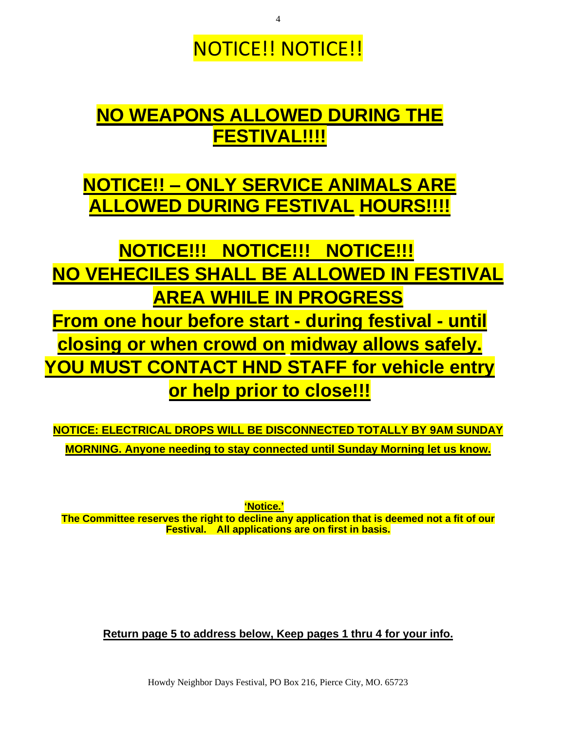# NOTICE!! NOTICE!!

# **NO WEAPONS ALLOWED DURING THE FESTIVAL!!!!**

# **NOTICE!! – ONLY SERVICE ANIMALS ARE ALLOWED DURING FESTIVAL HOURS!!!!**

**NOTICE!!! NOTICE!!! NOTICE!!! NO VEHECILES SHALL BE ALLOWED IN FESTIVAL AREA WHILE IN PROGRESS From one hour before start - during festival - until closing or when crowd on midway allows safely. YOU MUST CONTACT HND STAFF for vehicle entry or help prior to close!!!**

**NOTICE: ELECTRICAL DROPS WILL BE DISCONNECTED TOTALLY BY 9AM SUNDAY MORNING. Anyone needing to stay connected until Sunday Morning let us know.**

**'Notice.'**

**The Committee reserves the right to decline any application that is deemed not a fit of our Festival. All applications are on first in basis.**

**Return page 5 to address below, Keep pages 1 thru 4 for your info.**

Howdy Neighbor Days Festival, PO Box 216, Pierce City, MO. 65723